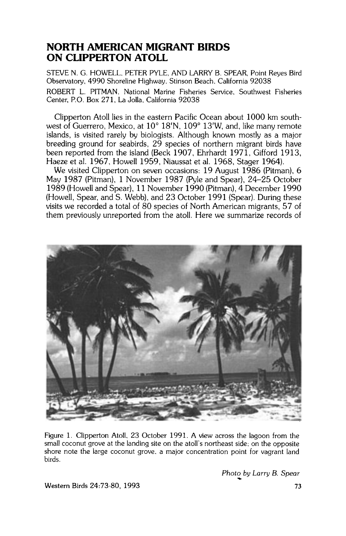# **NORTH AMERICAN MIGRANT BIRDS ON CLIPPERTON ATOLL**

**STEVE N. G. HOWELL, PETER PYLE. AND LARRY B. SPEAR. Point Reyes Bird Observatory. 4990 Shoreline Highway. Stinson Beach. California 92038 ROBERT L. PITMAN. National Marine Fisheries Service, Southwest Fisheries Center. P.O. Box 271, La Jolla, California 92038** 

**Clipperton Atoll lies in the eastern Pacific Ocean about 1000 km south**west of Guerrero, Mexico, at 10° 18'N, 109° 13'W, and, like many remote **islands, is visited rarely by biologists. Although known mostly as a major breeding ground for seabirds, 29 species of northern migrant birds have been reported from the island (Beck 1907, Ehrhardt 1971. Gifford 1913, Haeze et al. 1967, Howell 1959, Niaussat et al. 1968. Stager 1964).** 

**We visited Clipperton on seven occasions: 19 August 1986 (Pitman), 6 May 1987 (Pitman). 1 November 1987 (Pyle and Spear). 24-25 October 1989 (Howell and Spear), 11 November 1990 (Pitman), 4 December 1990 (Howell, Spear, and S. Webb), and 23 October 1991 (Spear). During these visits we recorded a total of 80 species of North American migrants, 57 of them previously unreported from the atoll. Here we summarize records of** 



**Figure 1. Clipperton Atoll, 23 October 1991. A view across the lagoon from the small coconut grove at the landing site on the atoll's northeast side: on the opposite shore note the large coconut grove, a major concentration point for vagrant land birds.** 

**Photo by Larry B. Spear** 

**Western Birds 24:73-80, 1993**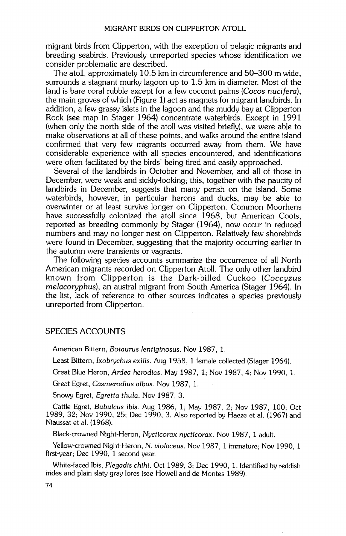**migrant birds from Clipperton, with the exception of pelagic migrants and breeding seabirds. Previously unreported species whose identification we consider problematic are described.** 

**The atoll, approximately 10.5 km in circumference and 50-300 m wide, surrounds astagnant murky lagoon up to 1.5 km in diameter. Most of the land is bare coral rubble except for a few coconut palms (Cocos nucifera), the main groves of which (Figure 1) act as magnets for migrant landbirds. In addition, a few grassy islets in the lagoon and the muddy bay at Clipperton Rock (see map in Stager 1964) concentrate waterbirds. Except in 1991 (when only the north side of the atoll was visited briefly), we were able to**  make observations at all of these points, and walks around the entire island **confirmed that very few migrants occurred away from them. We have**  considerable experience with all species encountered, and identifications **were often facilitated by the birds' being tired and easily approached.** 

**Several of the landbirds in October and November, and all of those in December, were weak and sickly-looking; this, together with the paucity of landbirds in December, suggests that many perish on the island. Some waterbirds, however, in particular herons and ducks, may be able to overwinter or at least survive longer on Clipperton. Common Moorhens have successfully colonized the atoll since 1968, but American Coots, reported as breeding commonly by Stager (1964), now occur in reduced numbers and may no longer nest on Clipperton. Relatively few shorebirds were found in December, suggesting that the majority occurring earlier in the autumn were transients or vagrants.** 

**The following species accounts summarize the occurrence of all North American migrants recorded on Clipperton Atoll. The only other landbird known from Clipperton is the Dark-billed Cuckoo (Coccyzus melacoryphus), an austral migrant from South America (Stager 1964). In the list, lack of reference to other sources indicates a species previously unreported from Clipperton.** 

#### **SPECIES ACCOUNTS**

**American Bittern, Botaurus lentiginosus. Nov 1987, 1.** 

**Least Bittern, Ixobrychus exilis. Aug 1958, 1 female collected (Stager 1964).** 

Great Blue Heron, Ardea herodias. May 1987, 1; Nov 1987, 4; Nov 1990, 1.

**Great Egret, Casmerodius albus. Nov 1987, 1.** 

**Snowy Egret, Egretta thula. Nov 1987, 3.** 

**Cattle Egret, Bubulcus ibis. Aug 1986, 1; May 1987, 2; Nov 1987, 100; Oct 1989, 32; Nov 1990, 25; Dec 1990, 3. Also reported by Haeze et al. (1967) and Niaussat et al. (1968).** 

**Black-crowned Night-Heron, Nycticorax nycticorax. Nov 1987, 1 adult.** 

**Yellow-crowned Night-Heron, N. violaceus. Nov 1987, 1 immature; Nov 1990, 1 first-year; Dec 1990, 1 second-year.** 

White-faced Ibis, Plegadis chihi. Oct 1989, 3; Dec 1990, 1. Identified by reddish **irides and plain slaw gray lores (see Howell and de Montes 1989).**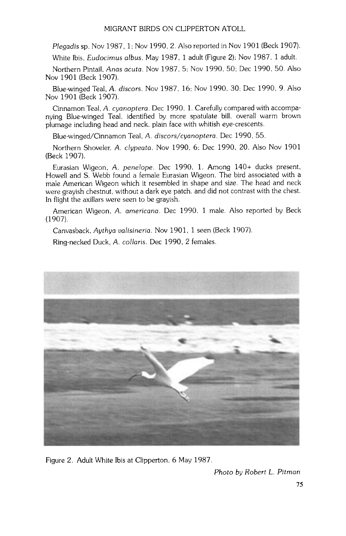**Plegadis sp. Nov 1987.1: Nov 1990, 2. Also reported in Nov 1901 (Beck 1907).** 

**White Ibis, Eudocimus albus. May 1987.1 adult (Figure 2); Nov 1987, 1 adult.** 

**Northern Pintail, Anas acura. Nov 1987.5; Nov 1990, 50; Dec 1990.50. Also Nov 1901 (Beck 1907).** 

**Blue-winged Teal. A. discors. Nov 1987, 16- Nov 1990, 30; Dec 1990, 9. Also Nov 1901 (Beck 1907).** 

**Cinnamon Teal, A. cyanoptera. Dec 1990.1. Carefully compared with accompanying Blue-winged Teal, identified by more spatulare bill, overall warm brown plumage including head and neck. plain face with whitish eye-crescents.** 

**Blue-winged/Cinnamon Teal, A. discors/cyanoptera. Dec 1990.55.** 

**Northern Shoveler. A. clypeata. Nov 1990. 6; Dec 1990, 20. Also Nov 1901 (Beck 1907).** 

**Eurasian Wigeon, A. penelope. Dec 1990, 1. Among 140+ ducks present, Howell and S. Webb found a female Eurasian Wigeon. The bird associated with a male American Wigeon which it resembled in shape and size. The head and neck were grayish chestnut, without a dark eye patch. and did not contrast with the chest. In flight the axillars were seen to be grayish.** 

**American Wigeon, A. americana. Dec 1990, 1 male. Also reported by Beck (1907).** 

**Canvasback, Aythya valisineria. Nov 1901, 1 seen (Beck 1907).** 

**Ring-necked Duck, A. collaris. Dec 1990, 2 females.** 



**Figure 2. Adult White Ibis at Clipperton, 6 May 1987.** 

**Photo by Robert L. Pitman**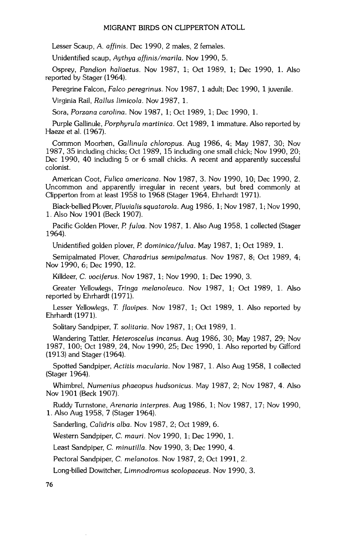**Lesser Scaup, A. affinis. Dec 1990, 2 males, 2 females.** 

**Unidentified scaup, Aythya affinis/marila. Nov 1990, 5.** 

**Osprey, Pandion haliaetus. Nov 1987, 1; Oct 1989, 1; Dec 1990, 1. Also reported by Stager (1964).** 

**Peregrine Falcon, Falco peregrinus. Nov 1987, 1 adult; Dec 1990, 1 juvenile.** 

Virginia Rail, Rallus limicola. Nov 1987, 1.

**Sora, Porzana carolina. Nov 1987, 1; Oct 1989, 1; Dec 1990, 1.** 

**Purple Gallinule, Porphyrula martinica. Oct 1989, 1 immature. Also reported by Haeze et al. (1967).** 

**Common Moorhen, Gallinula chloropus. Aug 1986, 4; May 1987, 30; Nov 1987, 35 including chicks; Oct 1989, 15 including one small chick; Nov 1990, 20; Dec 1990, 40 including 5 or 6 small chicks. A recent and apparently successful colonist.** 

**American Coot, Fulica americana. Nov 1987, 3. Nov 1990, 10; Dec 1990, 2. Uncommon and apparently irregular in recent years, but bred commonly at Clipperton from at least 1958 to 1968 (Stager 1964, Ehrhardt 1971).** 

**Black-bellied Plover, Pluvialis squatarola. Aug 1986, 1; Nov 1987, 1; Nov 1990, 1. Also Nov 1901 (Beck 1907).** 

**Pacific Golden Plover, P. fulva. Nov 1987, 1. Also Aug 1958, 1 collected (Stager 1964).** 

**Unidentified golden plover, P. dominica/fulva. May 1987, 1; Oct 1989, 1.** 

**Semipalmated Plover, Charadrius semipalmatus. Nov 1987, 8; Oct 1989, 4; Nov 1990, 6; Dec 1990, 12.** 

**Killdeer, C. vociferus. Nov 1987, 1; Nov 1990, 1; Dec 1990, 3.** 

**Greater Yellowlegs, Tringa melanoleuca. Nov 1987, 1; Oct 1989, 1. Also reported by Ehrhardt (1971).** 

**Lesser Yellowlegs, T. flavipes. Nov 1987, 1; Oct 1989, 1. Also reported by Ehrhardt (1971).** 

**Solitary Sandpiper, T. solitaria. Nov 1987, 1; Oct 1989, 1.** 

**Wandering Tattler, Heteroscelus incanus. Aug 1986, 30; May 1987, 29; Nov 1987, 100; Oct 1989, 24, Nov 1990, 25; Dec 1990, 1. Also reported by Gifford (1913) and Stager (1964).** 

**Spotted Sandpiper, Actitis macularia. Nov 1987, 1. Also Aug 1958, 1 collected (Stager 1964).** 

**Whimbrel, Nurnenius phaeopus hudsonicus. May 1987, 2; Nov 1987, 4. Also Nov 1901 (Beck 1907).** 

**Ruddy Turnstone, ArenariG interpres. Aug 1986, 1; Nov 1987, 17; Nov 1990, 1. Also Aug 1958, 7 (Stager 1964).** 

**Sanderling, Calidris alba. Nov 1987, 2; Oct 1989, 6.** 

**Western Sandpiper, C. mauri. Nov 1990, 1; Dec 1990, 1.** 

**Least Sandpiper, C. minutilla. Nov 1990, 3; Dec 1990, 4.** 

**Pectoral Sandpiper, C. melanotos. Nov 1987, 2; Oct 1991, 2.** 

**Long-billed Dowitcher, Limnodromus scolopaceus. Nov 1990, 3.**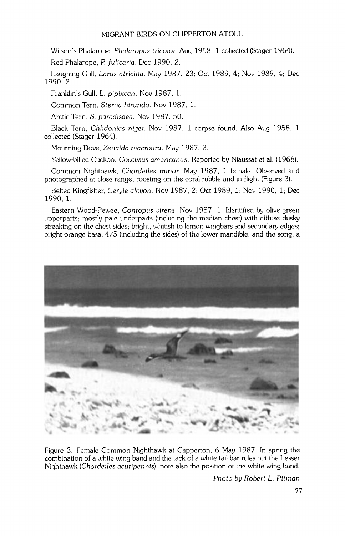**Wilson's Phalarope, Phalaropus tricolor. Aug 1958, 1 collected (Stager 1964).** 

**Red Phalarope, P. fulicaria. Dec 1990, 2.** 

**Laughing Gull, Larus atticilia. May 1987, 23• Oct 1989, 4; Nov 1989, 4; Dec 1990, 2.** 

**Franklin's Gull, L. pipixcan. Nov 1987, 1.** 

Common Tern. Sterna hirundo. Nov 1987. 1.

**Arctic Tern, \$. paradisaea. Nov 1987, 50.** 

**Black Tern, Chlidonias niger. Nov 1987, 1 corpse found. Also Aug 1958, 1 collected (Stager 1964).** 

**Mourning Dove, Zenaida macroura. May 1987, 2.** 

**Yellow-billed Cuckoo, Coccyzus americanus. Reported by Niaussat et al. (1968).** 

Common Nighthawk, Chordeiles minor. May 1987, 1 female. Observed and **photographed at close range, roosting on the coral rubble and in flight (Figure 3).** 

**Belted Kingfisher, Ceryle alcyon. Nov 1987, 2; Oct 1989, 1; Nov 1990, 1; Dec 1990, 1.** 

**Eastern Wood-Pewee, Contopus virens. Nov 1987, 1. Identified by olive-green upperparts; mostly pale underparts (including the median chest) with diffuse dusky streaking on the chest sides; bright, whitish to lemon wingbars and secondary edges; bright orange basal 4/5 (including the sides) of the lower mandible; and the song, a** 



**Figure 3. Female Common Nighthawk at Clipperton, 6 May 1987. In spring the combination of a white wing band and the lack of a white tail bar rules out the Lesser Nighthawk (Chordeiles acutipennis); note also the position of the white wing band.** 

**Photo by Robert L. Pitman**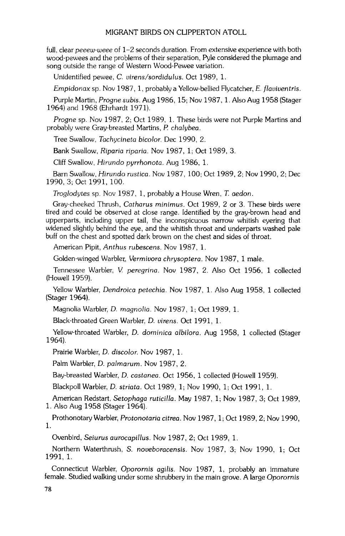**full, clear peeew-weee of 1-2 seconds duration. From extensive experience with both wood-pewees and the problems of their separation, Pyle considered the plumage and song outside the range of Western Wood-Pewee variation.** 

**Unidentified pewee, C. virens/sordidulus. Oct 1989, 1.** 

Empidonax sp. Nov 1987, 1, probably a Yellow-bellied Flycatcher, E. flaviventris.

**Purple Martin, Progne subis. Aug 1986, 15; Nov 1987, 1. Also Aug 1958 (Stager 1964) and 1968 (Ehrhardt 1971).** 

**Progne sp. Nov 1987, 2; Oct 1989, 1. These birds were not Purple Martins and probably were Gray-breasted Martins, P. chalybea.** 

Tree Swallow, Tachycineta bicolor. Dec 1990, 2.

**Bank Swallow, Riparia riparia. Nov 1987, 1; Oct 1989, 3.** 

**Cliff Swallow, Hitundo pyrrhonota. Aug 1986, 1.** 

**Barn Swallow, Hitundo rustlea. Nov 1987, 100; Oct 1989, 2; Nov 1990, 2; Dec 1990, 3; Oct 1991, 100.** 

**Troglodytes sp. Nov 1987, 1, probably a House Wren, T. aedon.** 

**Gray-cheeked Thrush, Catharus minimus. Oct 1989, 2 or 3. These birds were tired and could be observed at close range. Identified by the gray-brown head and upperparts, including upper tail, the inconspicuous narrow whitish eyering that widened slightly behind the eye, and the whitish throat and underparts washed pale buff on the chest and spotted dark brown on the chest and sides of throat.** 

**American Pipit, Anthus rubescens. Nov 1987, 1.** 

Golden-winged Warbler, Vermivora chrysoptera. Nov 1987, 1 male.

**Tennessee Warbler, V. peregrina. Nov 1987, 2. Also Oct 1956, 1 collected (Howell 1959).** 

**Yellow Warbler, Dendroica petechia. Nov 1987, 1. Also Aug 1958, 1 collected (Stager 1964).** 

**Magnolia Warbler, D. magnolia. Nov 1987, 1; Oct 1989, 1.** 

**Black-throated Green Warbler, D. virens. Oct 1991, 1.** 

**Yellow-throated Warbler, D. dominica albilora. Aug 1958, 1 collected (Stager 1964).** 

**Prairie Warbler, D. discolor. Nov 1987, 1.** 

**Palm Warbler, D. palmarum. Nov 1987, 2.** 

Bay-breasted Warbler, *D. castanea.* Oct 1956, 1 collected (Howell 1959).

**Blackpoll Warbler, D. striata. Oct 1989, 1; Nov 1990, 1; Oct 1991, 1.** 

**American Redstart, Setophaga ruticilla. May 1987, 1; Nov 1987, 3; Oct 1989, 1. Also Aug 1958 (Stager 1964).** 

Prothonotary Warbler, Protonotaria citrea. Nov 1987, 1; Oct 1989, 2; Nov 1990, **1.** 

**Ovenbird, Seiurus aurocapillus. Nov 1987, 2; Oct 1989, 1.** 

**Northern Waterthrush, S. noveboracensis. Nov 1987, 3; Nov 1990, 1; Oct 1991, 1.** 

**Connecticut Warbler, Oporornis agilis. Nov 1987, 1, probably an immature**  female. Studied walking under some shrubbery in the main grove. A large Oporornis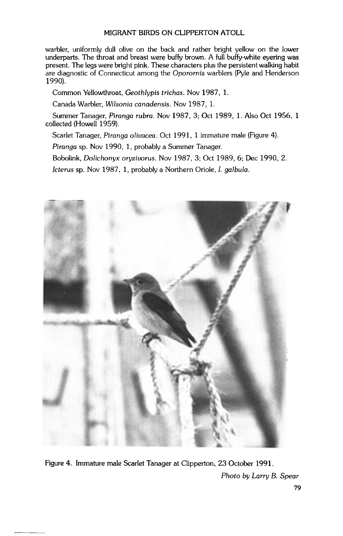**warbler. uniformly dull olive on the back and rather bright yellow on the lower**  underparts. The throat and breast were buffy brown. A full buffy-white evering was present. The legs were bright pink. These characters plus the persistent walking habit **are diagnostic of Connecticut among the Oporornis warblers (Pyle and Henderson 1990).** 

**Common Yellowthroat, Geothlypis trichas. Nov 1987, 1.** 

Canada Warbler, Wilsonia canadensis. Nov 1987, 1.

**Summer Tanager, Piranga rubra. Nov 1987, 3; Oct 1989, 1. Also Oct 1956, 1 collected (Howell 1959).** 

**Scarlet Tanager. Piranga olivacea. Oct 1991, 1 immature male (Figure 4).** 

**Piranga sp. Nov 1990, 1, probably a Summer Tanager.** 

**Bobolink, Dolichonyx oryzivorus. Nov 1987, 3: Oct 1989, 6: Dec 1990, 2.** 

**Icterus sp. Nov 1987, 1, probably a Northern Oriole, I. galbula.** 



**Figure 4. Immature male Scarlet Tanager at Clipperton, 23 October 1991. Photo by Larry B. Spear**